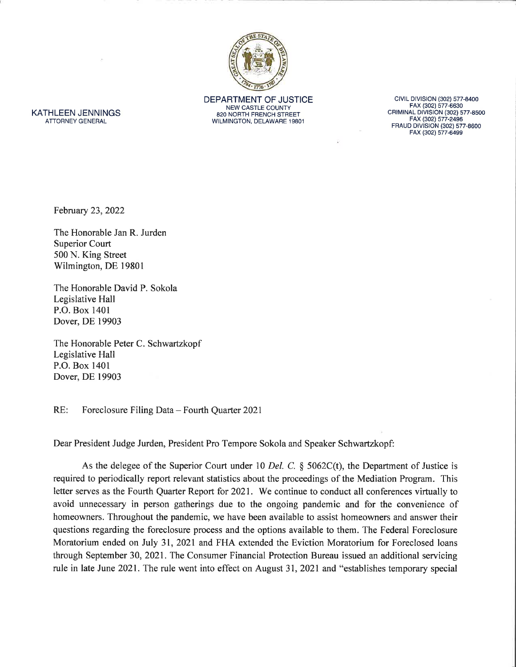

DEPARTMENT OF JUSTICE **NEW CASTLE COUNTY** 820 NORTH FRENCH STREET WILMINGTON, DELAWARE 19801

CIVIL DIVISION (302) 577-8400 FAX (302) 577-6630<br>CRIMINAL DIVISION (302) 577-8500 FAX (302) 577-2496<br>FRAUD DIVISION (302) 577-8600 FAX (302) 577-6499

KATHLEEN JENNINGS **ATTORNEY GENERAL** 

February 23, 2022

The Honorable Jan R. Jurden **Superior Court** 500 N. King Street Wilmington, DE 19801

The Honorable David P. Sokola Legislative Hall P.O. Box 1401 Dover, DE 19903

The Honorable Peter C. Schwartzkopf Legislative Hall P.O. Box 1401 Dover, DE 19903

 $RE:$ Foreclosure Filing Data - Fourth Quarter 2021

Dear President Judge Jurden, President Pro Tempore Sokola and Speaker Schwartzkopf:

As the delegee of the Superior Court under 10 Del. C. § 5062C(t), the Department of Justice is required to periodically report relevant statistics about the proceedings of the Mediation Program. This letter serves as the Fourth Quarter Report for 2021. We continue to conduct all conferences virtually to avoid unnecessary in person gatherings due to the ongoing pandemic and for the convenience of homeowners. Throughout the pandemic, we have been available to assist homeowners and answer their questions regarding the foreclosure process and the options available to them. The Federal Foreclosure Moratorium ended on July 31, 2021 and FHA extended the Eviction Moratorium for Foreclosed loans through September 30, 2021. The Consumer Financial Protection Bureau issued an additional servicing rule in late June 2021. The rule went into effect on August 31, 2021 and "establishes temporary special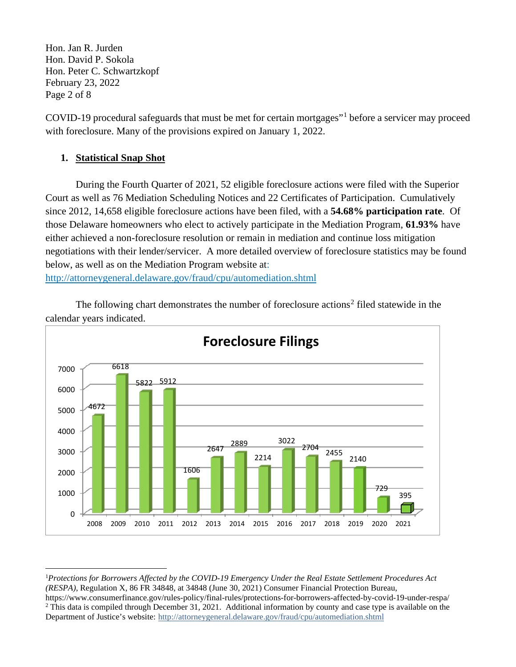Hon. Jan R. Jurden Hon. David P. Sokola Hon. Peter C. Schwartzkopf February 23, 2022 Page 2 of 8

COVID-19 procedural safeguards that must be met for certain mortgages"[1](#page-1-0) before a servicer may proceed with foreclosure. Many of the provisions expired on January 1, 2022.

# **1. Statistical Snap Shot**

During the Fourth Quarter of 2021, 52 eligible foreclosure actions were filed with the Superior Court as well as 76 Mediation Scheduling Notices and 22 Certificates of Participation. Cumulatively since 2012, 14,658 eligible foreclosure actions have been filed, with a **54.68% participation rate**. Of those Delaware homeowners who elect to actively participate in the Mediation Program, **61.93%** have either achieved a non-foreclosure resolution or remain in mediation and continue loss mitigation negotiations with their lender/servicer. A more detailed overview of foreclosure statistics may be found below, as well as on the Mediation Program website at:

<http://attorneygeneral.delaware.gov/fraud/cpu/automediation.shtml>

The following chart demonstrates the number of foreclosure actions<sup>[2](#page-1-1)</sup> filed statewide in the calendar years indicated.



<span id="page-1-0"></span>1 *Protections for Borrowers Affected by the COVID-19 Emergency Under the Real Estate Settlement Procedures Act (RESPA)*, Regulation X, 86 FR 34848, at 34848 (June 30, 2021) Consumer Financial Protection Bureau,

<span id="page-1-1"></span>https://www.consumerfinance.gov/rules-policy/final-rules/protections-for-borrowers-affected-by-covid-19-under-respa/ <sup>2</sup> This data is compiled through December 31, 2021. Additional information by county and case type is available on the Department of Justice's website: <http://attorneygeneral.delaware.gov/fraud/cpu/automediation.shtml>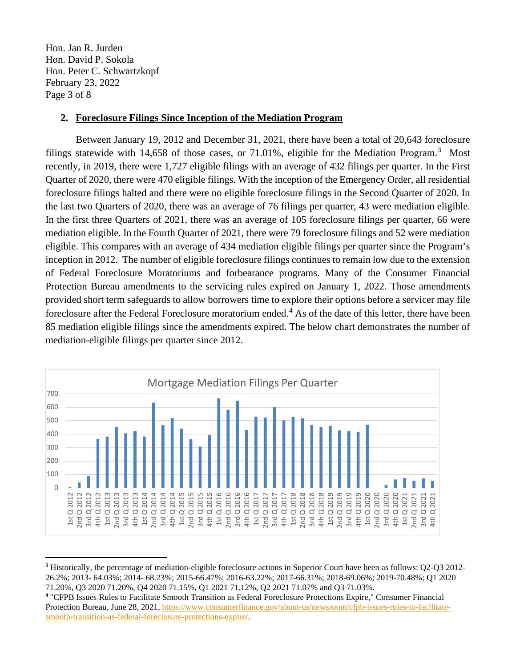Hon. Jan R. Jurden Hon. David P. Sokola Hon. Peter C. Schwartzkopf February 23, 2022 Page 3 of 8

## **2. Foreclosure Filings Since Inception of the Mediation Program**

Between January 19, 2012 and December 31, 2021, there have been a total of 20,643 foreclosure filings statewide with 14,658 of those cases, or 71.01%, eligible for the Mediation Program.<sup>[3](#page-2-0)</sup> Most recently, in 2019, there were 1,727 eligible filings with an average of 432 filings per quarter. In the First Quarter of 2020, there were 470 eligible filings. With the inception of the Emergency Order, all residential foreclosure filings halted and there were no eligible foreclosure filings in the Second Quarter of 2020. In the last two Quarters of 2020, there was an average of 76 filings per quarter, 43 were mediation eligible. In the first three Quarters of 2021, there was an average of 105 foreclosure filings per quarter, 66 were mediation eligible. In the Fourth Quarter of 2021, there were 79 foreclosure filings and 52 were mediation eligible. This compares with an average of 434 mediation eligible filings per quarter since the Program's inception in 2012. The number of eligible foreclosure filings continues to remain low due to the extension of Federal Foreclosure Moratoriums and forbearance programs. Many of the Consumer Financial Protection Bureau amendments to the servicing rules expired on January 1, 2022. Those amendments provided short term safeguards to allow borrowers time to explore their options before a servicer may file foreclosure after the Federal Foreclosure moratorium ended.<sup>[4](#page-2-1)</sup> As of the date of this letter, there have been 85 mediation eligible filings since the amendments expired. The below chart demonstrates the number of mediation-eligible filings per quarter since 2012.



<span id="page-2-0"></span><sup>3</sup> Historically, the percentage of mediation-eligible foreclosure actions in Superior Court have been as follows: Q2-Q3 2012- 26.2%; 2013- 64.03%; 2014- 68.23%; 2015-66.47%; 2016-63.22%; 2017-66.31%; 2018-69.06%; 2019-70.48%; Q1 2020 71.20%, Q3 2020 71.20%, Q4 2020 71.15%, Q1 2021 71.12%, Q2 2021 71.07% and Q3 71.03%.

<span id="page-2-1"></span><sup>4</sup> "CFPB Issues Rules to Facilitate Smooth Transition as Federal Foreclosure Protections Expire," Consumer Financial Protection Bureau, June 28, 2021, [https://www.consumerfinance.gov/about-us/newsroom/cfpb-issues-rules-to-facilitate](https://gcc02.safelinks.protection.outlook.com/?url=https%3A%2F%2Fwww.consumerfinance.gov%2Fabout-us%2Fnewsroom%2Fcfpb-issues-rules-to-facilitate-smooth-transition-as-federal-foreclosure-protections-expire%2F&data=04%7C01%7CJennifer.Smolko%40delaware.gov%7C55d2bee54d6d40f8672508d96e417625%7C8c09e56951c54deeabb28b99c32a4396%7C0%7C0%7C637662049701019050%7CUnknown%7CTWFpbGZsb3d8eyJWIjoiMC4wLjAwMDAiLCJQIjoiV2luMzIiLCJBTiI6Ik1haWwiLCJXVCI6Mn0%3D%7C1000&sdata=ouafDEwd%2F1Kplu03TqiDkepcKf7ISSEoUOI2nOINK5g%3D&reserved=0)[smooth-transition-as-federal-foreclosure-protections-expire/.](https://gcc02.safelinks.protection.outlook.com/?url=https%3A%2F%2Fwww.consumerfinance.gov%2Fabout-us%2Fnewsroom%2Fcfpb-issues-rules-to-facilitate-smooth-transition-as-federal-foreclosure-protections-expire%2F&data=04%7C01%7CJennifer.Smolko%40delaware.gov%7C55d2bee54d6d40f8672508d96e417625%7C8c09e56951c54deeabb28b99c32a4396%7C0%7C0%7C637662049701019050%7CUnknown%7CTWFpbGZsb3d8eyJWIjoiMC4wLjAwMDAiLCJQIjoiV2luMzIiLCJBTiI6Ik1haWwiLCJXVCI6Mn0%3D%7C1000&sdata=ouafDEwd%2F1Kplu03TqiDkepcKf7ISSEoUOI2nOINK5g%3D&reserved=0)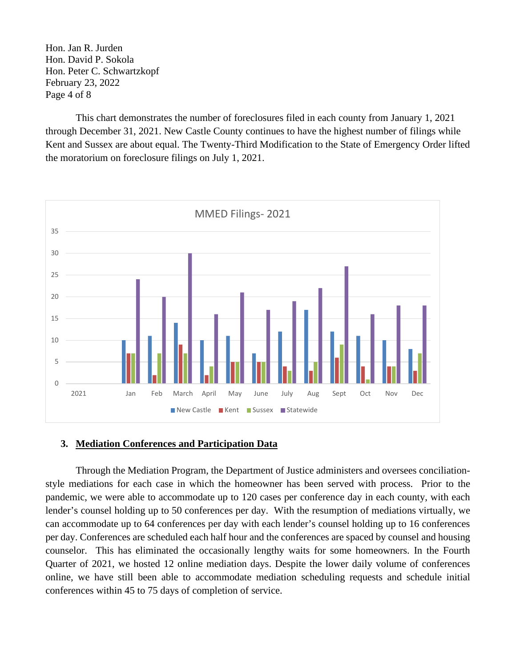Hon. Jan R. Jurden Hon. David P. Sokola Hon. Peter C. Schwartzkopf February 23, 2022 Page 4 of 8

This chart demonstrates the number of foreclosures filed in each county from January 1, 2021 through December 31, 2021. New Castle County continues to have the highest number of filings while Kent and Sussex are about equal. The Twenty-Third Modification to the State of Emergency Order lifted the moratorium on foreclosure filings on July 1, 2021.



### **3. Mediation Conferences and Participation Data**

Through the Mediation Program, the Department of Justice administers and oversees conciliationstyle mediations for each case in which the homeowner has been served with process. Prior to the pandemic, we were able to accommodate up to 120 cases per conference day in each county, with each lender's counsel holding up to 50 conferences per day. With the resumption of mediations virtually, we can accommodate up to 64 conferences per day with each lender's counsel holding up to 16 conferences per day. Conferences are scheduled each half hour and the conferences are spaced by counsel and housing counselor. This has eliminated the occasionally lengthy waits for some homeowners. In the Fourth Quarter of 2021, we hosted 12 online mediation days. Despite the lower daily volume of conferences online, we have still been able to accommodate mediation scheduling requests and schedule initial conferences within 45 to 75 days of completion of service.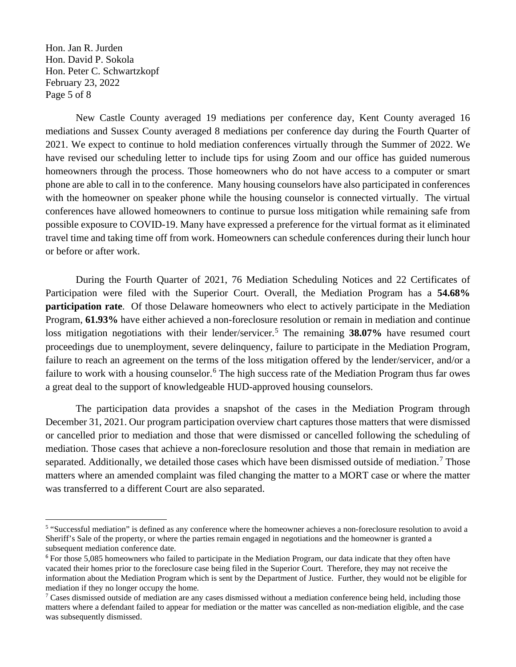Hon. Jan R. Jurden Hon. David P. Sokola Hon. Peter C. Schwartzkopf February 23, 2022 Page 5 of 8

New Castle County averaged 19 mediations per conference day, Kent County averaged 16 mediations and Sussex County averaged 8 mediations per conference day during the Fourth Quarter of 2021. We expect to continue to hold mediation conferences virtually through the Summer of 2022. We have revised our scheduling letter to include tips for using Zoom and our office has guided numerous homeowners through the process. Those homeowners who do not have access to a computer or smart phone are able to call in to the conference. Many housing counselors have also participated in conferences with the homeowner on speaker phone while the housing counselor is connected virtually. The virtual conferences have allowed homeowners to continue to pursue loss mitigation while remaining safe from possible exposure to COVID-19. Many have expressed a preference for the virtual format as it eliminated travel time and taking time off from work. Homeowners can schedule conferences during their lunch hour or before or after work.

During the Fourth Quarter of 2021, 76 Mediation Scheduling Notices and 22 Certificates of Participation were filed with the Superior Court. Overall, the Mediation Program has a **54.68% participation rate**. Of those Delaware homeowners who elect to actively participate in the Mediation Program, **61.93%** have either achieved a non-foreclosure resolution or remain in mediation and continue loss mitigation negotiations with their lender/servicer.<sup>[5](#page-4-0)</sup> The remaining **38.07%** have resumed court proceedings due to unemployment, severe delinquency, failure to participate in the Mediation Program, failure to reach an agreement on the terms of the loss mitigation offered by the lender/servicer, and/or a failure to work with a housing counselor.<sup>[6](#page-4-1)</sup> The high success rate of the Mediation Program thus far owes a great deal to the support of knowledgeable HUD-approved housing counselors.

The participation data provides a snapshot of the cases in the Mediation Program through December 31, 2021. Our program participation overview chart captures those matters that were dismissed or cancelled prior to mediation and those that were dismissed or cancelled following the scheduling of mediation. Those cases that achieve a non-foreclosure resolution and those that remain in mediation are separated. Additionally, we detailed those cases which have been dismissed outside of mediation.<sup>[7](#page-4-2)</sup> Those matters where an amended complaint was filed changing the matter to a MORT case or where the matter was transferred to a different Court are also separated.

<span id="page-4-0"></span><sup>5</sup> "Successful mediation" is defined as any conference where the homeowner achieves a non-foreclosure resolution to avoid a Sheriff's Sale of the property, or where the parties remain engaged in negotiations and the homeowner is granted a subsequent mediation conference date.

<span id="page-4-1"></span><sup>6</sup> For those 5,085 homeowners who failed to participate in the Mediation Program, our data indicate that they often have vacated their homes prior to the foreclosure case being filed in the Superior Court. Therefore, they may not receive the information about the Mediation Program which is sent by the Department of Justice. Further, they would not be eligible for mediation if they no longer occupy the home.

<span id="page-4-2"></span><sup>&</sup>lt;sup>7</sup> Cases dismissed outside of mediation are any cases dismissed without a mediation conference being held, including those matters where a defendant failed to appear for mediation or the matter was cancelled as non-mediation eligible, and the case was subsequently dismissed.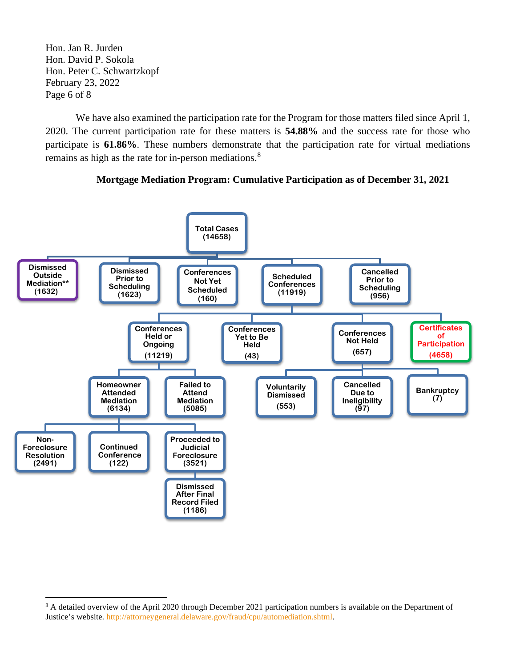Hon. Jan R. Jurden Hon. David P. Sokola Hon. Peter C. Schwartzkopf February 23, 2022 Page 6 of 8

We have also examined the participation rate for the Program for those matters filed since April 1, 2020. The current participation rate for these matters is **54.88%** and the success rate for those who participate is **61.86%**. These numbers demonstrate that the participation rate for virtual mediations remains as high as the rate for in-person mediations.<sup>[8](#page-5-0)</sup>





<span id="page-5-0"></span><sup>&</sup>lt;sup>8</sup> A detailed overview of the April 2020 through December 2021 participation numbers is available on the Department of Justice's website. [http://attorneygeneral.delaware.gov/fraud/cpu/automediation.shtml.](http://attorneygeneral.delaware.gov/fraud/cpu/automediation.shtml)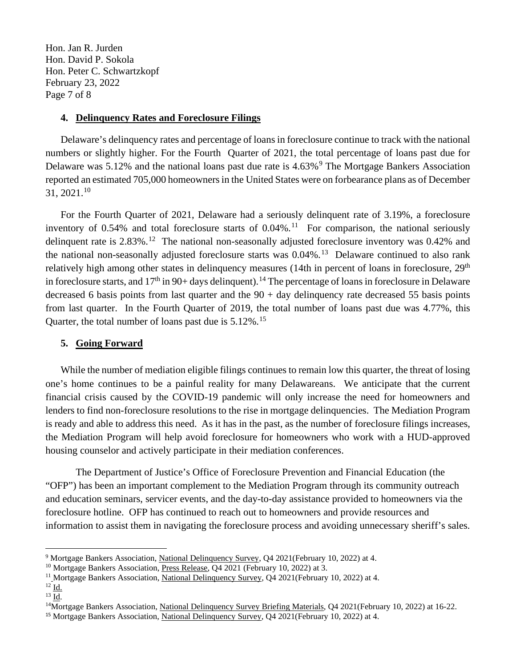Hon. Jan R. Jurden Hon. David P. Sokola Hon. Peter C. Schwartzkopf February 23, 2022 Page 7 of 8

#### **4. Delinquency Rates and Foreclosure Filings**

Delaware's delinquency rates and percentage of loans in foreclosure continue to track with the national numbers or slightly higher. For the Fourth Quarter of 2021, the total percentage of loans past due for Delaware was  $5.12\%$  and the national loans past due rate is  $4.63\%$ <sup>[9](#page-6-0)</sup> The Mortgage Bankers Association reported an estimated 705,000 homeowners in the United States were on forbearance plans as of December 31, 2021. [10](#page-6-1)

For the Fourth Quarter of 2021, Delaware had a seriously delinquent rate of 3.19%, a foreclosure inventory of 0.54% and total foreclosure starts of  $0.04\%$ .<sup>[11](#page-6-2)</sup> For comparison, the national seriously delinquent rate is  $2.83\%$ .<sup>[12](#page-6-3)</sup> The national non-seasonally adjusted foreclosure inventory was 0.42% and the national non-seasonally adjusted foreclosure starts was  $0.04\%$ .<sup>13</sup> Delaware continued to also rank relatively high among other states in delinquency measures (14th in percent of loans in foreclosure, 29<sup>th</sup> in foreclosure starts, and  $17<sup>th</sup>$  in 90+ days delinquent).<sup>[14](#page-6-5)</sup> The percentage of loans in foreclosure in Delaware decreased 6 basis points from last quarter and the  $90 + day$  delinquency rate decreased 55 basis points from last quarter. In the Fourth Quarter of 2019, the total number of loans past due was 4.77%, this Quarter, the total number of loans past due is 5.12%.<sup>[15](#page-6-6)</sup>

### **5. Going Forward**

While the number of mediation eligible filings continues to remain low this quarter, the threat of losing one's home continues to be a painful reality for many Delawareans. We anticipate that the current financial crisis caused by the COVID-19 pandemic will only increase the need for homeowners and lenders to find non-foreclosure resolutions to the rise in mortgage delinquencies. The Mediation Program is ready and able to address this need. As it has in the past, as the number of foreclosure filings increases, the Mediation Program will help avoid foreclosure for homeowners who work with a HUD-approved housing counselor and actively participate in their mediation conferences.

The Department of Justice's Office of Foreclosure Prevention and Financial Education (the "OFP") has been an important complement to the Mediation Program through its community outreach and education seminars, servicer events, and the day-to-day assistance provided to homeowners via the foreclosure hotline. OFP has continued to reach out to homeowners and provide resources and information to assist them in navigating the foreclosure process and avoiding unnecessary sheriff's sales.

<span id="page-6-0"></span><sup>9</sup> Mortgage Bankers Association, National Delinquency Survey, Q4 2021(February 10, 2022) at 4.

<span id="page-6-1"></span><sup>&</sup>lt;sup>10</sup> Mortgage Bankers Association, Press Release, Q4 2021 (February 10, 2022) at 3.

<span id="page-6-2"></span><sup>&</sup>lt;sup>11</sup> Mortgage Bankers Association, National Delinquency Survey, Q4 2021(February 10, 2022) at 4.

<span id="page-6-3"></span> $^{12}$  I<u>d.</u> <sup>13</sup> Id.

<span id="page-6-5"></span><span id="page-6-4"></span><sup>&</sup>lt;sup>14</sup>Mortgage Bankers Association, National Delinquency Survey Briefing Materials, Q4 2021(February 10, 2022) at 16-22.

<span id="page-6-6"></span><sup>&</sup>lt;sup>15</sup> Mortgage Bankers Association, National Delinquency Survey, Q4 2021(February 10, 2022) at 4.